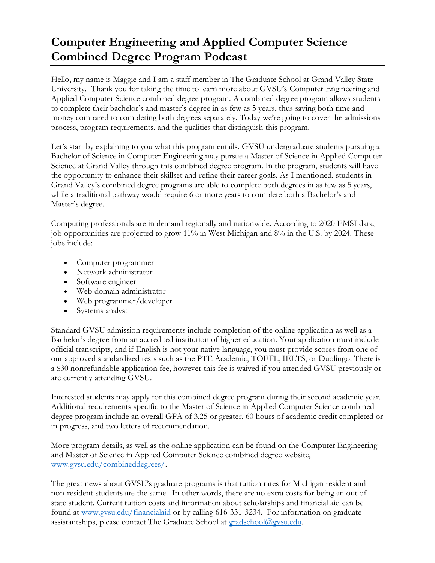## **Computer Engineering and Applied Computer Science Combined Degree Program Podcast**

Hello, my name is Maggie and I am a staff member in The Graduate School at Grand Valley State University. Thank you for taking the time to learn more about GVSU's Computer Engineering and Applied Computer Science combined degree program. A combined degree program allows students to complete their bachelor's and master's degree in as few as 5 years, thus saving both time and money compared to completing both degrees separately. Today we're going to cover the admissions process, program requirements, and the qualities that distinguish this program.

Let's start by explaining to you what this program entails. GVSU undergraduate students pursuing a Bachelor of Science in Computer Engineering may pursue a Master of Science in Applied Computer Science at Grand Valley through this combined degree program. In the program, students will have the opportunity to enhance their skillset and refine their career goals. As I mentioned, students in Grand Valley's combined degree programs are able to complete both degrees in as few as 5 years, while a traditional pathway would require 6 or more years to complete both a Bachelor's and Master's degree.

Computing professionals are in demand regionally and nationwide. According to 2020 EMSI data, job opportunities are projected to grow 11% in West Michigan and 8% in the U.S. by 2024. These jobs include:

- Computer programmer
- Network administrator
- Software engineer
- Web domain administrator
- Web programmer/developer
- Systems analyst

Standard GVSU admission requirements include completion of the online application as well as a Bachelor's degree from an accredited institution of higher education. Your application must include official transcripts, and if English is not your native language, you must provide scores from one of our approved standardized tests such as the PTE Academic, TOEFL, IELTS, or Duolingo. There is a \$30 nonrefundable application fee, however this fee is waived if you attended GVSU previously or are currently attending GVSU.

Interested students may apply for this combined degree program during their second academic year. Additional requirements specific to the Master of Science in Applied Computer Science combined degree program include an overall GPA of 3.25 or greater, 60 hours of academic credit completed or in progress, and two letters of recommendation.

More program details, as well as the online application can be found on the Computer Engineering and Master of Science in Applied Computer Science combined degree website, [www.gvsu.edu/combineddegrees/.](http://www.gvsu.edu/combineddegrees/)

The great news about GVSU's graduate programs is that tuition rates for Michigan resident and non-resident students are the same. In other words, there are no extra costs for being an out of state student. Current tuition costs and information about scholarships and financial aid can be found at [www.gvsu.edu/financialaid](http://www.gvsu.edu/financialaid) or by calling 616-331-3234. For information on graduate assistantships, please contact The Graduate School at [gradschool@gvsu.edu.](mailto:gradschool@gvsu.edu)